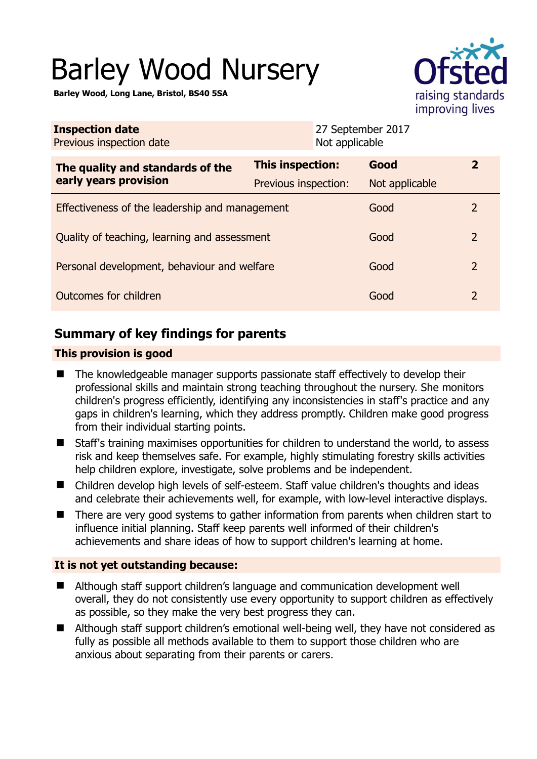# Barley Wood Nursery

**Barley Wood, Long Lane, Bristol, BS40 5SA** 



| <b>Inspection date</b><br>Previous inspection date<br>Not applicable |                                          | 27 September 2017      |                |
|----------------------------------------------------------------------|------------------------------------------|------------------------|----------------|
| The quality and standards of the<br>early years provision            | This inspection:<br>Previous inspection: | Good<br>Not applicable | $\mathbf{2}$   |
| Effectiveness of the leadership and management                       |                                          | Good                   | 2              |
| Quality of teaching, learning and assessment                         |                                          | Good                   | 2              |
| Personal development, behaviour and welfare                          |                                          | Good                   | $\overline{2}$ |
| Outcomes for children                                                |                                          | Good                   | $\overline{2}$ |

# **Summary of key findings for parents**

#### **This provision is good**

- The knowledgeable manager supports passionate staff effectively to develop their professional skills and maintain strong teaching throughout the nursery. She monitors children's progress efficiently, identifying any inconsistencies in staff's practice and any gaps in children's learning, which they address promptly. Children make good progress from their individual starting points.
- Staff's training maximises opportunities for children to understand the world, to assess risk and keep themselves safe. For example, highly stimulating forestry skills activities help children explore, investigate, solve problems and be independent.
- Children develop high levels of self-esteem. Staff value children's thoughts and ideas and celebrate their achievements well, for example, with low-level interactive displays.
- There are very good systems to gather information from parents when children start to influence initial planning. Staff keep parents well informed of their children's achievements and share ideas of how to support children's learning at home.

#### **It is not yet outstanding because:**

- Although staff support children's language and communication development well overall, they do not consistently use every opportunity to support children as effectively as possible, so they make the very best progress they can.
- Although staff support children's emotional well-being well, they have not considered as fully as possible all methods available to them to support those children who are anxious about separating from their parents or carers.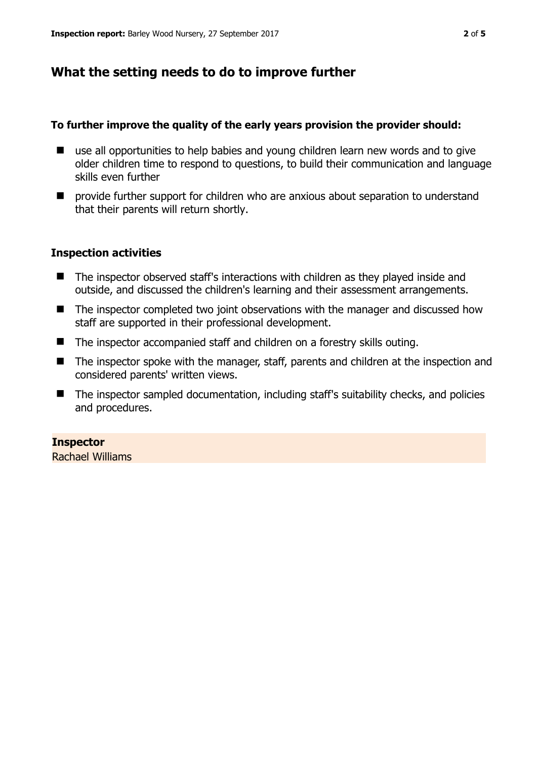## **What the setting needs to do to improve further**

#### **To further improve the quality of the early years provision the provider should:**

- use all opportunities to help babies and young children learn new words and to give older children time to respond to questions, to build their communication and language skills even further
- $\blacksquare$  provide further support for children who are anxious about separation to understand that their parents will return shortly.

#### **Inspection activities**

- The inspector observed staff's interactions with children as they played inside and outside, and discussed the children's learning and their assessment arrangements.
- The inspector completed two joint observations with the manager and discussed how staff are supported in their professional development.
- The inspector accompanied staff and children on a forestry skills outing.
- The inspector spoke with the manager, staff, parents and children at the inspection and considered parents' written views.
- The inspector sampled documentation, including staff's suitability checks, and policies and procedures.

#### **Inspector**

Rachael Williams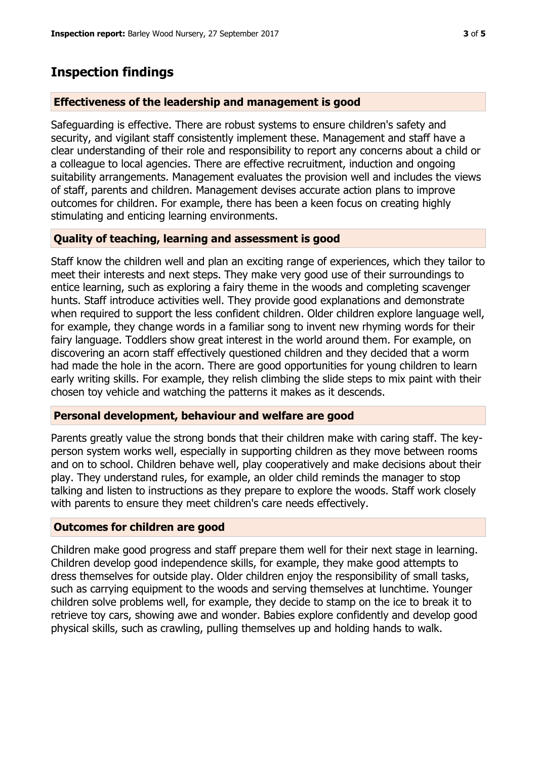## **Inspection findings**

#### **Effectiveness of the leadership and management is good**

Safeguarding is effective. There are robust systems to ensure children's safety and security, and vigilant staff consistently implement these. Management and staff have a clear understanding of their role and responsibility to report any concerns about a child or a colleague to local agencies. There are effective recruitment, induction and ongoing suitability arrangements. Management evaluates the provision well and includes the views of staff, parents and children. Management devises accurate action plans to improve outcomes for children. For example, there has been a keen focus on creating highly stimulating and enticing learning environments.

#### **Quality of teaching, learning and assessment is good**

Staff know the children well and plan an exciting range of experiences, which they tailor to meet their interests and next steps. They make very good use of their surroundings to entice learning, such as exploring a fairy theme in the woods and completing scavenger hunts. Staff introduce activities well. They provide good explanations and demonstrate when required to support the less confident children. Older children explore language well, for example, they change words in a familiar song to invent new rhyming words for their fairy language. Toddlers show great interest in the world around them. For example, on discovering an acorn staff effectively questioned children and they decided that a worm had made the hole in the acorn. There are good opportunities for young children to learn early writing skills. For example, they relish climbing the slide steps to mix paint with their chosen toy vehicle and watching the patterns it makes as it descends.

#### **Personal development, behaviour and welfare are good**

Parents greatly value the strong bonds that their children make with caring staff. The keyperson system works well, especially in supporting children as they move between rooms and on to school. Children behave well, play cooperatively and make decisions about their play. They understand rules, for example, an older child reminds the manager to stop talking and listen to instructions as they prepare to explore the woods. Staff work closely with parents to ensure they meet children's care needs effectively.

#### **Outcomes for children are good**

Children make good progress and staff prepare them well for their next stage in learning. Children develop good independence skills, for example, they make good attempts to dress themselves for outside play. Older children enjoy the responsibility of small tasks, such as carrying equipment to the woods and serving themselves at lunchtime. Younger children solve problems well, for example, they decide to stamp on the ice to break it to retrieve toy cars, showing awe and wonder. Babies explore confidently and develop good physical skills, such as crawling, pulling themselves up and holding hands to walk.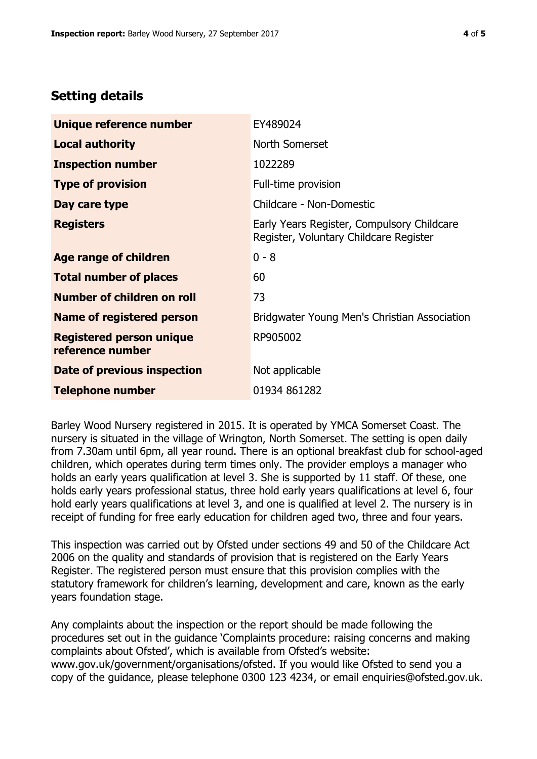## **Setting details**

| Unique reference number                             | EY489024                                                                             |  |
|-----------------------------------------------------|--------------------------------------------------------------------------------------|--|
| <b>Local authority</b>                              | North Somerset                                                                       |  |
| <b>Inspection number</b>                            | 1022289                                                                              |  |
| <b>Type of provision</b>                            | Full-time provision                                                                  |  |
| Day care type                                       | Childcare - Non-Domestic                                                             |  |
| <b>Registers</b>                                    | Early Years Register, Compulsory Childcare<br>Register, Voluntary Childcare Register |  |
| Age range of children                               | $0 - 8$                                                                              |  |
| <b>Total number of places</b>                       | 60                                                                                   |  |
| Number of children on roll                          | 73                                                                                   |  |
| Name of registered person                           | Bridgwater Young Men's Christian Association                                         |  |
| <b>Registered person unique</b><br>reference number | RP905002                                                                             |  |
| <b>Date of previous inspection</b>                  | Not applicable                                                                       |  |
| <b>Telephone number</b>                             | 01934 861282                                                                         |  |

Barley Wood Nursery registered in 2015. It is operated by YMCA Somerset Coast. The nursery is situated in the village of Wrington, North Somerset. The setting is open daily from 7.30am until 6pm, all year round. There is an optional breakfast club for school-aged children, which operates during term times only. The provider employs a manager who holds an early years qualification at level 3. She is supported by 11 staff. Of these, one holds early years professional status, three hold early years qualifications at level 6, four hold early years qualifications at level 3, and one is qualified at level 2. The nursery is in receipt of funding for free early education for children aged two, three and four years.

This inspection was carried out by Ofsted under sections 49 and 50 of the Childcare Act 2006 on the quality and standards of provision that is registered on the Early Years Register. The registered person must ensure that this provision complies with the statutory framework for children's learning, development and care, known as the early years foundation stage.

Any complaints about the inspection or the report should be made following the procedures set out in the guidance 'Complaints procedure: raising concerns and making complaints about Ofsted', which is available from Ofsted's website: www.gov.uk/government/organisations/ofsted. If you would like Ofsted to send you a copy of the guidance, please telephone 0300 123 4234, or email enquiries@ofsted.gov.uk.